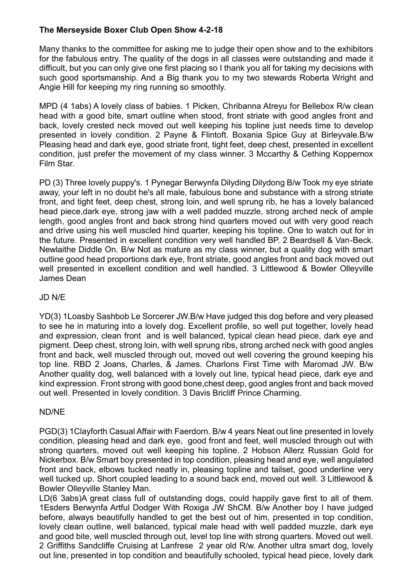## **The Merseyside Boxer Club Open Show 4-2-18**

Many thanks to the committee for asking me to judge their open show and to the exhibitors for the fabulous entry. The quality of the dogs in all classes were outstanding and made it difficult, but you can only give one first placing so I thank you all for taking my decisions with such good sportsmanship. And a Big thank you to my two stewards Roberta Wright and Angie Hill for keeping my ring running so smoothly.

MPD (4 1abs) A lovely class of babies. 1 Picken, Chribanna Atreyu for Bellebox R/w clean head with a good bite, smart outline when stood, front striate with good angles front and back, lovely crested neck moved out well keeping his topline just needs time to develop presented in lovely condition. 2 Payne & Flintoft. Boxania Spice Guy at Birleyvale.B/w Pleasing head and dark eye, good striate front, tight feet, deep chest, presented in excellent condition, just prefer the movement of my class winner. 3 Mccarthy & Cething Koppernox Film Star.

PD (3) Three lovely puppy's. 1 Pynegar Berwynfa Dilyding Dilydong B/w Took my eye striate away, your left in no doubt he's all male, fabulous bone and substance with a strong striate front, and tight feet, deep chest, strong loin, and well sprung rib, he has a lovely balanced head piece,dark eye, strong jaw with a well padded muzzle, strong arched neck of ample length, good angles front and back strong hind quarters moved out with very good reach and drive using his well muscled hind quarter, keeping his topline. One to watch out for in the future. Presented in excellent condition very well handled BP. 2 Beardsell & Van-Beck. Newlaithe Diddle On. B/w Not as mature as my class winner, but a quality dog with smart outline good head proportions dark eye, front striate, good angles front and back moved out well presented in excellent condition and well handled. 3 Littlewood & Bowler Olleyville James Dean

## JD N/E

YD(3) 1Loasby Sashbob Le Sorcerer JW.B/w Have judged this dog before and very pleased to see he in maturing into a lovely dog. Excellent profile, so well put together, lovely head and expression, clean front and is well balanced, typical clean head piece, dark eye and pigment. Deep chest, strong loin, with well sprung ribs, strong arched neck with good angles front and back, well muscled through out, moved out well covering the ground keeping his top line. RBD 2 Joans, Charles, & James. Charlons First Time with Maromad JW. B/w Another quality dog, well balanced with a lovely out line, typical head piece, dark eye and kind expression. Front strong with good bone,chest deep, good angles front and back moved out well. Presented in lovely condition. 3 Davis Bricliff Prince Charming.

## ND/NE

PGD(3) 1Clayforth Casual Affair with Faerdorn. B/w 4 years Neat out line presented in lovely condition, pleasing head and dark eye, good front and feet, well muscled through out with strong quarters, moved out well keeping his topline. 2 Hobson Allerz Russian Gold for Nickerbox. B/w Smart boy presented in top condition, pleasing head and eye, well angulated front and back, elbows tucked neatly in, pleasing topline and tailset, good underline very well tucked up. Short coupled leading to a sound back end, moved out well. 3 Littlewood & Bowler Olleyville Stanley Man.

LD(6 3abs)A great class full of outstanding dogs, could happily gave first to all of them. 1Esders Berwynfa Artful Dodger With Roxiga JW ShCM. B/w Another boy I have judged before, always beautifully handled to get the best out of him, presented in top condition, lovely clean outline, well balanced, typical male head with well padded muzzle, dark eye and good bite, well muscled through out, level top line with strong quarters. Moved out well. 2 Griffiths Sandcliffe Cruising at Lanfrese 2 year old R/w. Another ultra smart dog, lovely out line, presented in top condition and beautifully schooled, typical head piece, lovely dark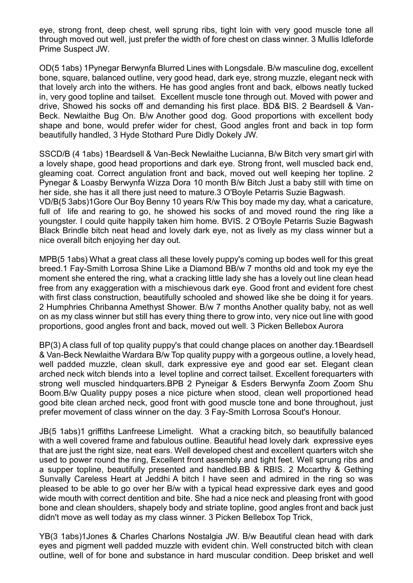eye, strong front, deep chest, well sprung ribs, tight loin with very good muscle tone all through moved out well, just prefer the width of fore chest on class winner. 3 Mullis Idleforde Prime Suspect JW.

OD(5 1abs) 1Pynegar Berwynfa Blurred Lines with Longsdale. B/w masculine dog, excellent bone, square, balanced outline, very good head, dark eye, strong muzzle, elegant neck with that lovely arch into the withers. He has good angles front and back, elbows neatly tucked in, very good topline and tailset. Excellent muscle tone through out. Moved with power and drive, Showed his socks off and demanding his first place. BD& BIS. 2 Beardsell & Van-Beck. Newlaithe Bug On. B/w Another good dog. Good proportions with excellent body shape and bone, would prefer wider for chest, Good angles front and back in top form beautifully handled, 3 Hyde Stothard Pure Didly Dokely JW.

SSCD/B (4 1abs) 1Beardsell & Van-Beck Newlaithe Lucianna, B/w Bitch very smart girl with a lovely shape, good head proportions and dark eye. Strong front, well muscled back end, gleaming coat. Correct angulation front and back, moved out well keeping her topline. 2 Pynegar & Loasby Berwynfa Wizza Dora 10 month B/w Bitch Just a baby still with time on her side, she has it all there just need to mature.3 O'Boyle Petarris Suzie Bagwash. VD/B(5 3abs)1Gore Our Boy Benny 10 years R/w This boy made my day, what a caricature, full of life and rearing to go, he showed his socks of and moved round the ring like a youngster. I could quite happily taken him home. BVIS. 2 O'Boyle Petarris Suzie Bagwash Black Brindle bitch neat head and lovely dark eye, not as lively as my class winner but a nice overall bitch enjoying her day out.

MPB(5 1abs) What a great class all these lovely puppy's coming up bodes well for this great breed.1 Fay-Smith Lorrosa Shine Like a Diamond BB/w 7 months old and took my eye the moment she entered the ring, what a cracking little lady she has a lovely out line clean head free from any exaggeration with a mischievous dark eye. Good front and evident fore chest with first class construction, beautifully schooled and showed like she be doing it for years. 2 Humphries Chribanna Amethyst Shower. B/w 7 months Another quality baby, not as well on as my class winner but still has every thing there to grow into, very nice out line with good proportions, good angles front and back, moved out well. 3 Picken Bellebox Aurora

BP(3) A class full of top quality puppy's that could change places on another day.1Beardsell & Van-Beck Newlaithe Wardara B/w Top quality puppy with a gorgeous outline, a lovely head, well padded muzzle, clean skull, dark expressive eye and good ear set. Elegant clean arched neck witch blends into a level topline and correct tailset. Excellent forequarters with strong well muscled hindquarters.BPB 2 Pyneigar & Esders Berwynfa Zoom Zoom Shu Boom.B/w Quality puppy poses a nice picture when stood, clean well proportioned head good bite clean arched neck, good front with good muscle tone and bone throughout, just prefer movement of class winner on the day. 3 Fay-Smith Lorrosa Scout's Honour.

JB(5 1abs)1 griffiths Lanfreese Limelight. What a cracking bitch, so beautifully balanced with a well covered frame and fabulous outline. Beautiful head lovely dark expressive eyes that are just the right size, neat ears. Well developed chest and excellent quarters witch she used to power round the ring, Excellent front assembly and tight feet. Well sprung ribs and a supper topline, beautifully presented and handled.BB & RBIS. 2 Mccarthy & Gething Sunvally Careless Heart at Jeddhi A bitch I have seen and admired in the ring so was pleased to be able to go over her B/w with a typical head expressive dark eyes and good wide mouth with correct dentition and bite. She had a nice neck and pleasing front with good bone and clean shoulders, shapely body and striate topline, good angles front and back just didn't move as well today as my class winner. 3 Picken Bellebox Top Trick,

YB(3 1abs)1Jones & Charles Charlons Nostalgia JW. B/w Beautiful clean head with dark eyes and pigment well padded muzzle with evident chin. Well constructed bitch with clean outline, well of for bone and substance in hard muscular condition. Deep brisket and well